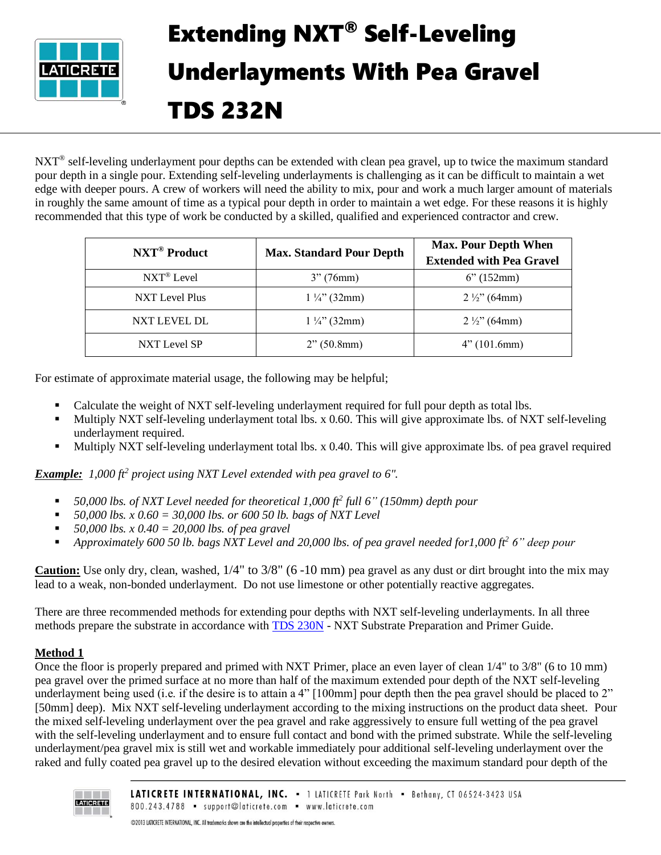

## Extending NXT® Self-Leveling Underlayments With Pea Gravel TDS 232N

NXT<sup>®</sup> self-leveling underlayment pour depths can be extended with clean pea gravel, up to twice the maximum standard pour depth in a single pour. Extending self-leveling underlayments is challenging as it can be difficult to maintain a wet edge with deeper pours. A crew of workers will need the ability to mix, pour and work a much larger amount of materials in roughly the same amount of time as a typical pour depth in order to maintain a wet edge. For these reasons it is highly recommended that this type of work be conducted by a skilled, qualified and experienced contractor and crew.

| NXT <sup>®</sup> Product | <b>Max. Standard Pour Depth</b> | <b>Max. Pour Depth When</b><br><b>Extended with Pea Gravel</b> |
|--------------------------|---------------------------------|----------------------------------------------------------------|
| NXT <sup>®</sup> Level   | 3''(76mm)                       | 6''(152mm)                                                     |
| NXT Level Plus           | $1\frac{1}{4}$ (32mm)           | $2\frac{1}{2}$ (64mm)                                          |
| NXT LEVEL DL             | $1\frac{1}{4}$ (32mm)           | $2\frac{1}{2}$ (64mm)                                          |
| NXT Level SP             | 2" (50.8mm)                     | 4" (101.6mm)                                                   |

For estimate of approximate material usage, the following may be helpful;

- Calculate the weight of NXT self-leveling underlayment required for full pour depth as total lbs.
- Multiply NXT self-leveling underlayment total lbs. x 0.60. This will give approximate lbs. of NXT self-leveling underlayment required.
- Multiply NXT self-leveling underlayment total lbs. x 0.40. This will give approximate lbs. of pea gravel required

*Example: 1,000 ft<sup>2</sup> project using NXT Level extended with pea gravel to 6".* 

- 50,000 lbs. of NXT Level needed for theoretical 1,000 ft<sup>2</sup> full 6" (150mm) depth pour
- *50,000 lbs. x 0.60 = 30,000 lbs. or 600 50 lb. bags of NXT Level*
- *50,000 lbs. x 0.40 = 20,000 lbs. of pea gravel*
- *Approximately 600 50 lb. bags NXT Level and 20,000 lbs. of pea gravel needed for1,000 ft<sup>2</sup> 6" deep pour*

**Caution:** Use only dry, clean, washed,  $1/4$ " to  $3/8$ " (6 -10 mm) pea gravel as any dust or dirt brought into the mix may lead to a weak, non-bonded underlayment. Do not use limestone or other potentially reactive aggregates.

There are three recommended methods for extending pour depths with NXT self-leveling underlayments. In all three methods prepare the substrate in accordance with [TDS 230N](https://cdn.laticrete.com/~/media/support-and-downloads/technical-datasheets/tds230n.ashx) - NXT Substrate Preparation and Primer Guide.

## **Method 1**

Once the floor is properly prepared and primed with NXT Primer, place an even layer of clean 1/4" to 3/8" (6 to 10 mm) pea gravel over the primed surface at no more than half of the maximum extended pour depth of the NXT self-leveling underlayment being used (i.e. if the desire is to attain a 4" [100mm] pour depth then the pea gravel should be placed to 2" [50mm] deep). Mix NXT self-leveling underlayment according to the mixing instructions on the product data sheet. Pour the mixed self-leveling underlayment over the pea gravel and rake aggressively to ensure full wetting of the pea gravel with the self-leveling underlayment and to ensure full contact and bond with the primed substrate. While the self-leveling underlayment/pea gravel mix is still wet and workable immediately pour additional self-leveling underlayment over the raked and fully coated pea gravel up to the desired elevation without exceeding the maximum standard pour depth of the